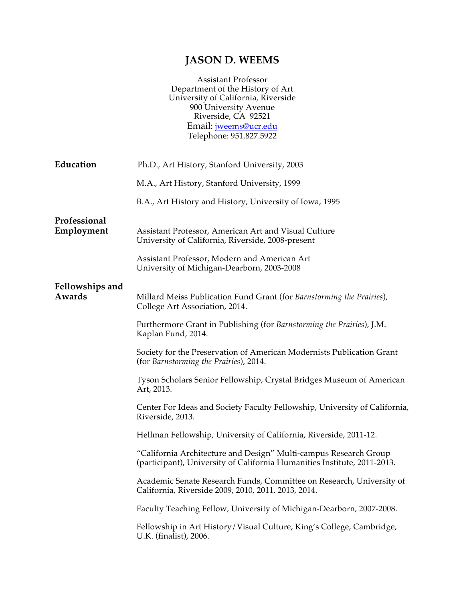# **JASON D. WEEMS**

| <b>Assistant Professor</b>          |
|-------------------------------------|
| Department of the History of Art    |
| University of California, Riverside |
| 900 University Avenue               |
| Riverside, CA 92521                 |
| Email: <i>jweems@ucr.edu</i>        |
| Telephone: 951.827.5922             |
|                                     |

| Education                  | Ph.D., Art History, Stanford University, 2003                                                                                                |
|----------------------------|----------------------------------------------------------------------------------------------------------------------------------------------|
|                            | M.A., Art History, Stanford University, 1999                                                                                                 |
|                            | B.A., Art History and History, University of Iowa, 1995                                                                                      |
| Professional<br>Employment | Assistant Professor, American Art and Visual Culture<br>University of California, Riverside, 2008-present                                    |
|                            | Assistant Professor, Modern and American Art<br>University of Michigan-Dearborn, 2003-2008                                                   |
| Fellowships and<br>Awards  | Millard Meiss Publication Fund Grant (for Barnstorming the Prairies),<br>College Art Association, 2014.                                      |
|                            | Furthermore Grant in Publishing (for Barnstorming the Prairies), J.M.<br>Kaplan Fund, 2014.                                                  |
|                            | Society for the Preservation of American Modernists Publication Grant<br>(for Barnstorming the Prairies), 2014.                              |
|                            | Tyson Scholars Senior Fellowship, Crystal Bridges Museum of American<br>Art, 2013.                                                           |
|                            | Center For Ideas and Society Faculty Fellowship, University of California,<br>Riverside, 2013.                                               |
|                            | Hellman Fellowship, University of California, Riverside, 2011-12.                                                                            |
|                            | "California Architecture and Design" Multi-campus Research Group<br>(participant), University of California Humanities Institute, 2011-2013. |
|                            | Academic Senate Research Funds, Committee on Research, University of<br>California, Riverside 2009, 2010, 2011, 2013, 2014.                  |
|                            | Faculty Teaching Fellow, University of Michigan-Dearborn, 2007-2008.                                                                         |
|                            | Fellowship in Art History/Visual Culture, King's College, Cambridge,<br>U.K. (finalist), 2006.                                               |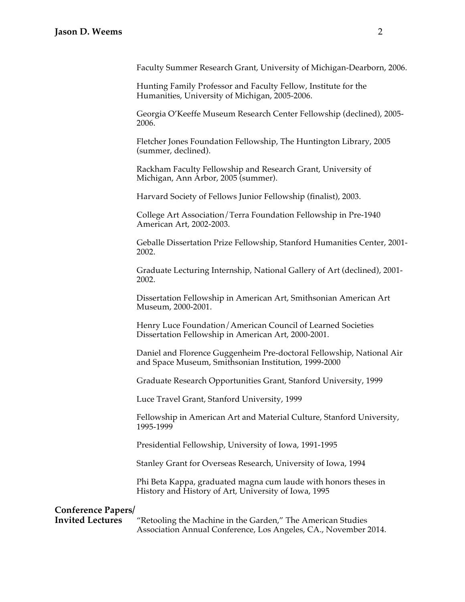#### **Jason D. Weems** 2

Faculty Summer Research Grant, University of Michigan-Dearborn, 2006.

Hunting Family Professor and Faculty Fellow, Institute for the Humanities, University of Michigan, 2005-2006.

Georgia O'Keeffe Museum Research Center Fellowship (declined), 2005- 2006.

Fletcher Jones Foundation Fellowship, The Huntington Library, 2005 (summer, declined).

Rackham Faculty Fellowship and Research Grant, University of Michigan, Ann Arbor, 2005 (summer).

Harvard Society of Fellows Junior Fellowship (finalist), 2003.

College Art Association/Terra Foundation Fellowship in Pre-1940 American Art, 2002-2003.

Geballe Dissertation Prize Fellowship, Stanford Humanities Center, 2001- 2002.

Graduate Lecturing Internship, National Gallery of Art (declined), 2001- 2002.

Dissertation Fellowship in American Art, Smithsonian American Art Museum, 2000-2001.

Henry Luce Foundation/American Council of Learned Societies Dissertation Fellowship in American Art, 2000-2001.

Daniel and Florence Guggenheim Pre-doctoral Fellowship, National Air and Space Museum, Smithsonian Institution, 1999-2000

Graduate Research Opportunities Grant, Stanford University, 1999

Luce Travel Grant, Stanford University, 1999

Fellowship in American Art and Material Culture, Stanford University, 1995-1999

Presidential Fellowship, University of Iowa, 1991-1995

Stanley Grant for Overseas Research, University of Iowa, 1994

Phi Beta Kappa, graduated magna cum laude with honors theses in History and History of Art, University of Iowa, 1995

## **Conference Papers/**

**Invited Lectures** "Retooling the Machine in the Garden," The American Studies Association Annual Conference, Los Angeles, CA., November 2014.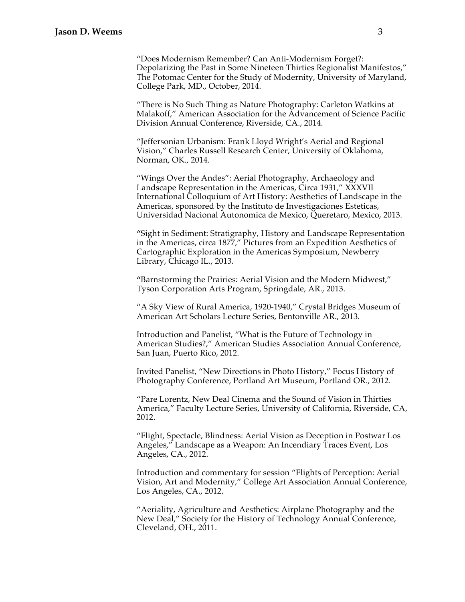"Does Modernism Remember? Can Anti-Modernism Forget?: Depolarizing the Past in Some Nineteen Thirties Regionalist Manifestos," The Potomac Center for the Study of Modernity, University of Maryland, College Park, MD., October, 2014.

"There is No Such Thing as Nature Photography: Carleton Watkins at Malakoff," American Association for the Advancement of Science Pacific Division Annual Conference, Riverside, CA., 2014.

"Jeffersonian Urbanism: Frank Lloyd Wright's Aerial and Regional Vision," Charles Russell Research Center, University of Oklahoma, Norman, OK., 2014.

"Wings Over the Andes": Aerial Photography, Archaeology and Landscape Representation in the Americas, Circa 1931," XXXVII International Colloquium of Art History: Aesthetics of Landscape in the Americas, sponsored by the Instituto de Investigaciones Esteticas, Universidad Nacional Autonomica de Mexico, Queretaro, Mexico, 2013.

**"**Sight in Sediment: Stratigraphy, History and Landscape Representation in the Americas, circa 1877," Pictures from an Expedition Aesthetics of Cartographic Exploration in the Americas Symposium, Newberry Library, Chicago IL., 2013.

**"**Barnstorming the Prairies: Aerial Vision and the Modern Midwest," Tyson Corporation Arts Program, Springdale, AR., 2013.

"A Sky View of Rural America, 1920-1940," Crystal Bridges Museum of American Art Scholars Lecture Series, Bentonville AR., 2013.

Introduction and Panelist, "What is the Future of Technology in American Studies?," American Studies Association Annual Conference, San Juan, Puerto Rico, 2012.

Invited Panelist, "New Directions in Photo History," Focus History of Photography Conference, Portland Art Museum, Portland OR., 2012.

"Pare Lorentz, New Deal Cinema and the Sound of Vision in Thirties America," Faculty Lecture Series, University of California, Riverside, CA, 2012.

"Flight, Spectacle, Blindness: Aerial Vision as Deception in Postwar Los Angeles," Landscape as a Weapon: An Incendiary Traces Event, Los Angeles, CA., 2012.

Introduction and commentary for session "Flights of Perception: Aerial Vision, Art and Modernity," College Art Association Annual Conference, Los Angeles, CA., 2012.

"Aeriality, Agriculture and Aesthetics: Airplane Photography and the New Deal," Society for the History of Technology Annual Conference, Cleveland, OH., 2011.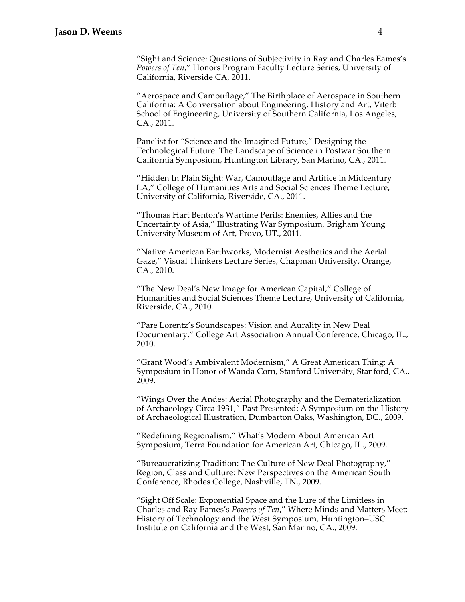"Sight and Science: Questions of Subjectivity in Ray and Charles Eames's *Powers of Ten*," Honors Program Faculty Lecture Series, University of California, Riverside CA, 2011.

"Aerospace and Camouflage," The Birthplace of Aerospace in Southern California: A Conversation about Engineering, History and Art, Viterbi School of Engineering, University of Southern California, Los Angeles, CA., 2011.

Panelist for "Science and the Imagined Future," Designing the Technological Future: The Landscape of Science in Postwar Southern California Symposium, Huntington Library, San Marino, CA., 2011.

"Hidden In Plain Sight: War, Camouflage and Artifice in Midcentury LA," College of Humanities Arts and Social Sciences Theme Lecture, University of California, Riverside, CA., 2011.

"Thomas Hart Benton's Wartime Perils: Enemies, Allies and the Uncertainty of Asia," Illustrating War Symposium, Brigham Young University Museum of Art, Provo, UT., 2011.

"Native American Earthworks, Modernist Aesthetics and the Aerial Gaze," Visual Thinkers Lecture Series, Chapman University, Orange, CA., 2010.

"The New Deal's New Image for American Capital," College of Humanities and Social Sciences Theme Lecture, University of California, Riverside, CA., 2010.

"Pare Lorentz's Soundscapes: Vision and Aurality in New Deal Documentary," College Art Association Annual Conference, Chicago, IL., 2010.

"Grant Wood's Ambivalent Modernism," A Great American Thing: A Symposium in Honor of Wanda Corn, Stanford University, Stanford, CA., 2009.

"Wings Over the Andes: Aerial Photography and the Dematerialization of Archaeology Circa 1931," Past Presented: A Symposium on the History of Archaeological Illustration, Dumbarton Oaks, Washington, DC., 2009.

"Redefining Regionalism," What's Modern About American Art Symposium, Terra Foundation for American Art, Chicago, IL., 2009.

"Bureaucratizing Tradition: The Culture of New Deal Photography," Region, Class and Culture: New Perspectives on the American South Conference, Rhodes College, Nashville, TN., 2009.

"Sight Off Scale: Exponential Space and the Lure of the Limitless in Charles and Ray Eames's *Powers of Ten*," Where Minds and Matters Meet: History of Technology and the West Symposium, Huntington–USC Institute on California and the West, San Marino, CA., 2009.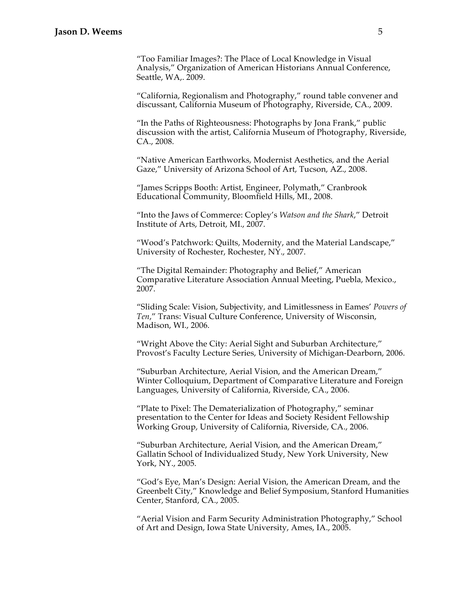"Too Familiar Images?: The Place of Local Knowledge in Visual Analysis," Organization of American Historians Annual Conference, Seattle, WA,. 2009.

"California, Regionalism and Photography," round table convener and discussant, California Museum of Photography, Riverside, CA., 2009.

"In the Paths of Righteousness: Photographs by Jona Frank," public discussion with the artist, California Museum of Photography, Riverside, CA., 2008.

"Native American Earthworks, Modernist Aesthetics, and the Aerial Gaze," University of Arizona School of Art, Tucson, AZ., 2008.

"James Scripps Booth: Artist, Engineer, Polymath," Cranbrook Educational Community, Bloomfield Hills, MI., 2008.

"Into the Jaws of Commerce: Copley's *Watson and the Shark*," Detroit Institute of Arts, Detroit, MI., 2007.

"Wood's Patchwork: Quilts, Modernity, and the Material Landscape," University of Rochester, Rochester, NY., 2007.

"The Digital Remainder: Photography and Belief," American Comparative Literature Association Annual Meeting, Puebla, Mexico., 2007.

"Sliding Scale: Vision, Subjectivity, and Limitlessness in Eames' *Powers of Ten*," Trans: Visual Culture Conference, University of Wisconsin, Madison, WI., 2006.

"Wright Above the City: Aerial Sight and Suburban Architecture," Provost's Faculty Lecture Series, University of Michigan-Dearborn, 2006.

"Suburban Architecture, Aerial Vision, and the American Dream," Winter Colloquium, Department of Comparative Literature and Foreign Languages, University of California, Riverside, CA., 2006.

"Plate to Pixel: The Dematerialization of Photography," seminar presentation to the Center for Ideas and Society Resident Fellowship Working Group, University of California, Riverside, CA., 2006.

"Suburban Architecture, Aerial Vision, and the American Dream," Gallatin School of Individualized Study, New York University, New York, NY., 2005.

"God's Eye, Man's Design: Aerial Vision, the American Dream, and the Greenbelt City," Knowledge and Belief Symposium, Stanford Humanities Center, Stanford, CA., 2005.

"Aerial Vision and Farm Security Administration Photography," School of Art and Design, Iowa State University, Ames, IA., 2005.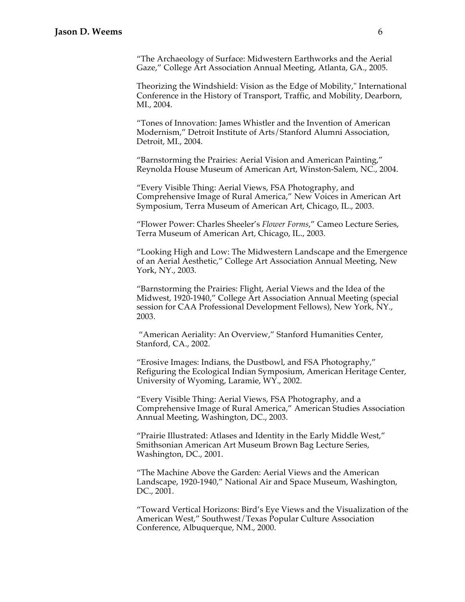"The Archaeology of Surface: Midwestern Earthworks and the Aerial Gaze," College Art Association Annual Meeting, Atlanta, GA., 2005.

Theorizing the Windshield: Vision as the Edge of Mobility," International Conference in the History of Transport, Traffic, and Mobility, Dearborn, MI., 2004.

"Tones of Innovation: James Whistler and the Invention of American Modernism," Detroit Institute of Arts/Stanford Alumni Association, Detroit, MI., 2004.

"Barnstorming the Prairies: Aerial Vision and American Painting," Reynolda House Museum of American Art, Winston-Salem, NC., 2004.

"Every Visible Thing: Aerial Views, FSA Photography, and Comprehensive Image of Rural America," New Voices in American Art Symposium, Terra Museum of American Art, Chicago, IL., 2003.

"Flower Power: Charles Sheeler's *Flower Forms*," Cameo Lecture Series, Terra Museum of American Art, Chicago, IL., 2003.

"Looking High and Low: The Midwestern Landscape and the Emergence of an Aerial Aesthetic," College Art Association Annual Meeting, New York, NY., 2003.

"Barnstorming the Prairies: Flight, Aerial Views and the Idea of the Midwest, 1920-1940," College Art Association Annual Meeting (special session for CAA Professional Development Fellows), New York, NY., 2003.

 "American Aeriality: An Overview," Stanford Humanities Center, Stanford, CA., 2002.

"Erosive Images: Indians, the Dustbowl, and FSA Photography," Refiguring the Ecological Indian Symposium, American Heritage Center, University of Wyoming, Laramie, WY., 2002.

"Every Visible Thing: Aerial Views, FSA Photography, and a Comprehensive Image of Rural America," American Studies Association Annual Meeting, Washington, DC., 2003.

"Prairie Illustrated: Atlases and Identity in the Early Middle West," Smithsonian American Art Museum Brown Bag Lecture Series, Washington, DC., 2001.

"The Machine Above the Garden: Aerial Views and the American Landscape, 1920-1940," National Air and Space Museum, Washington, DC., 2001.

"Toward Vertical Horizons: Bird's Eye Views and the Visualization of the American West," Southwest/Texas Popular Culture Association Conference, Albuquerque, NM., 2000.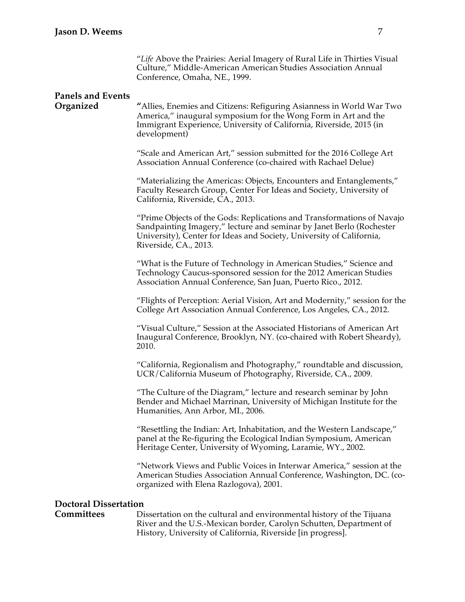"*Life* Above the Prairies: Aerial Imagery of Rural Life in Thirties Visual Culture," Middle-American American Studies Association Annual Conference, Omaha, NE., 1999.

## **Panels and Events**

**Organized "**Allies, Enemies and Citizens: Refiguring Asianness in World War Two America," inaugural symposium for the Wong Form in Art and the Immigrant Experience, University of California, Riverside, 2015 (in development)

> "Scale and American Art," session submitted for the 2016 College Art Association Annual Conference (co-chaired with Rachael Delue)

"Materializing the Americas: Objects, Encounters and Entanglements," Faculty Research Group, Center For Ideas and Society, University of California, Riverside, CA., 2013.

"Prime Objects of the Gods: Replications and Transformations of Navajo Sandpainting Imagery," lecture and seminar by Janet Berlo (Rochester University), Center for Ideas and Society, University of California, Riverside, CA., 2013.

"What is the Future of Technology in American Studies," Science and Technology Caucus-sponsored session for the 2012 American Studies Association Annual Conference, San Juan, Puerto Rico., 2012.

"Flights of Perception: Aerial Vision, Art and Modernity," session for the College Art Association Annual Conference, Los Angeles, CA., 2012.

"Visual Culture," Session at the Associated Historians of American Art Inaugural Conference, Brooklyn, NY. (co-chaired with Robert Sheardy), 2010.

"California, Regionalism and Photography," roundtable and discussion, UCR/California Museum of Photography, Riverside, CA., 2009.

"The Culture of the Diagram," lecture and research seminar by John Bender and Michael Marrinan, University of Michigan Institute for the Humanities, Ann Arbor, MI., 2006.

"Resettling the Indian: Art, Inhabitation, and the Western Landscape," panel at the Re-figuring the Ecological Indian Symposium, American Heritage Center, University of Wyoming, Laramie, WY., 2002.

"Network Views and Public Voices in Interwar America," session at the American Studies Association Annual Conference, Washington, DC. (coorganized with Elena Razlogova), 2001.

#### **Doctoral Dissertation**

**Committees** Dissertation on the cultural and environmental history of the Tijuana River and the U.S.-Mexican border, Carolyn Schutten, Department of History, University of California, Riverside [in progress].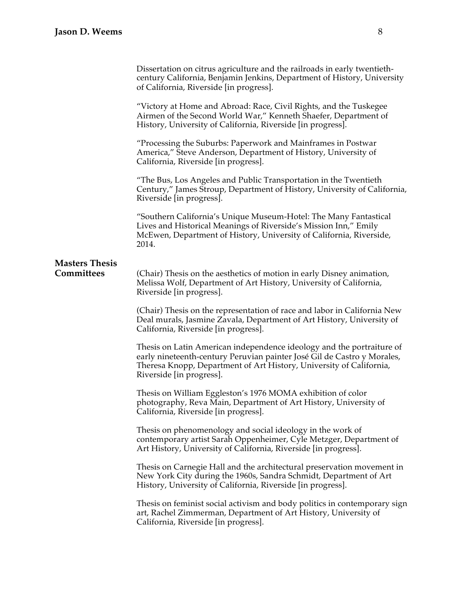|                                     | Dissertation on citrus agriculture and the railroads in early twentieth-<br>century California, Benjamin Jenkins, Department of History, University<br>of California, Riverside [in progress].                                                      |
|-------------------------------------|-----------------------------------------------------------------------------------------------------------------------------------------------------------------------------------------------------------------------------------------------------|
|                                     | "Victory at Home and Abroad: Race, Civil Rights, and the Tuskegee<br>Airmen of the Second World War," Kenneth Shaefer, Department of<br>History, University of California, Riverside [in progress].                                                 |
|                                     | "Processing the Suburbs: Paperwork and Mainframes in Postwar<br>America," Steve Anderson, Department of History, University of<br>California, Riverside [in progress].                                                                              |
|                                     | "The Bus, Los Angeles and Public Transportation in the Twentieth<br>Century," James Stroup, Department of History, University of California,<br>Riverside [in progress].                                                                            |
|                                     | "Southern California's Unique Museum-Hotel: The Many Fantastical<br>Lives and Historical Meanings of Riverside's Mission Inn," Emily<br>McEwen, Department of History, University of California, Riverside,<br>2014.                                |
| <b>Masters Thesis</b><br>Committees | (Chair) Thesis on the aesthetics of motion in early Disney animation,<br>Melissa Wolf, Department of Art History, University of California,<br>Riverside [in progress].                                                                             |
|                                     | (Chair) Thesis on the representation of race and labor in California New<br>Deal murals, Jasmine Zavala, Department of Art History, University of<br>California, Riverside [in progress].                                                           |
|                                     | Thesis on Latin American independence ideology and the portraiture of<br>early nineteenth-century Peruvian painter José Gil de Castro y Morales,<br>Theresa Knopp, Department of Art History, University of California,<br>Riverside [in progress]. |
|                                     | Thesis on William Eggleston's 1976 MOMA exhibition of color<br>photography, Reva Main, Department of Art History, University of<br>California, Riverside [in progress].                                                                             |
|                                     | Thesis on phenomenology and social ideology in the work of<br>contemporary artist Sarah Oppenheimer, Cyle Metzger, Department of<br>Art History, University of California, Riverside [in progress].                                                 |
|                                     | Thesis on Carnegie Hall and the architectural preservation movement in<br>New York City during the 1960s, Sandra Schmidt, Department of Art<br>History, University of California, Riverside [in progress].                                          |
|                                     | Thesis on feminist social activism and body politics in contemporary sign<br>art, Rachel Zimmerman, Department of Art History, University of<br>California, Riverside [in progress].                                                                |
|                                     |                                                                                                                                                                                                                                                     |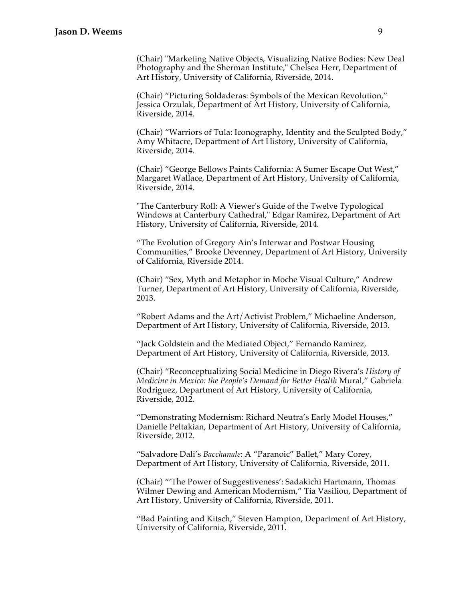### **Jason D. Weems** 9

(Chair) "Marketing Native Objects, Visualizing Native Bodies: New Deal Photography and the Sherman Institute," Chelsea Herr, Department of Art History, University of California, Riverside, 2014.

(Chair) "Picturing Soldaderas: Symbols of the Mexican Revolution," Jessica Orzulak, Department of Art History, University of California, Riverside, 2014.

(Chair) "Warriors of Tula: Iconography, Identity and the Sculpted Body," Amy Whitacre, Department of Art History, University of California, Riverside, 2014.

(Chair) "George Bellows Paints California: A Sumer Escape Out West," Margaret Wallace, Department of Art History, University of California, Riverside, 2014.

"The Canterbury Roll: A Viewer's Guide of the Twelve Typological Windows at Canterbury Cathedral," Edgar Ramirez, Department of Art History, University of California, Riverside, 2014.

"The Evolution of Gregory Ain's Interwar and Postwar Housing Communities," Brooke Devenney, Department of Art History, University of California, Riverside 2014.

(Chair) "Sex, Myth and Metaphor in Moche Visual Culture," Andrew Turner, Department of Art History, University of California, Riverside, 2013.

"Robert Adams and the Art/Activist Problem," Michaeline Anderson, Department of Art History, University of California, Riverside, 2013.

"Jack Goldstein and the Mediated Object," Fernando Ramirez, Department of Art History, University of California, Riverside, 2013.

(Chair) "Reconceptualizing Social Medicine in Diego Rivera's *History of Medicine in Mexico: the People's Demand for Better Health* Mural," Gabriela Rodriguez, Department of Art History, University of California, Riverside, 2012.

"Demonstrating Modernism: Richard Neutra's Early Model Houses," Danielle Peltakian, Department of Art History, University of California, Riverside, 2012.

"Salvadore Dali's *Bacchanale*: A "Paranoic" Ballet," Mary Corey, Department of Art History, University of California, Riverside, 2011.

(Chair) "'The Power of Suggestiveness': Sadakichi Hartmann, Thomas Wilmer Dewing and American Modernism," Tia Vasiliou, Department of Art History, University of California, Riverside, 2011.

"Bad Painting and Kitsch," Steven Hampton, Department of Art History, University of California, Riverside, 2011.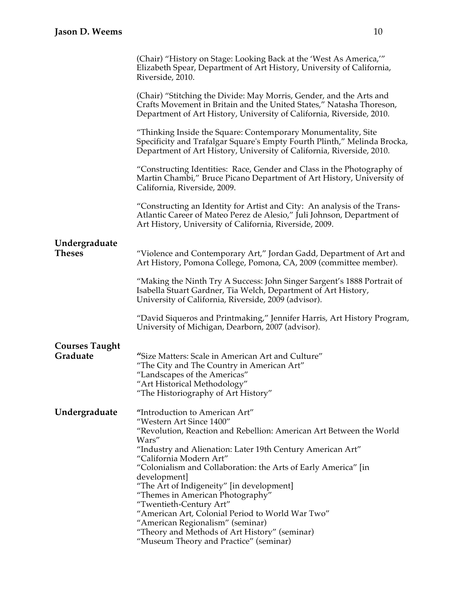|                       | (Chair) "History on Stage: Looking Back at the 'West As America,'"<br>Elizabeth Spear, Department of Art History, University of California,<br>Riverside, 2010.                                                      |
|-----------------------|----------------------------------------------------------------------------------------------------------------------------------------------------------------------------------------------------------------------|
|                       | (Chair) "Stitching the Divide: May Morris, Gender, and the Arts and<br>Crafts Movement in Britain and the United States," Natasha Thoreson,<br>Department of Art History, University of California, Riverside, 2010. |
|                       | "Thinking Inside the Square: Contemporary Monumentality, Site<br>Specificity and Trafalgar Square's Empty Fourth Plinth," Melinda Brocka,<br>Department of Art History, University of California, Riverside, 2010.   |
|                       | "Constructing Identities: Race, Gender and Class in the Photography of<br>Martin Chambi," Bruce Picano Department of Art History, University of<br>California, Riverside, 2009.                                      |
|                       | "Constructing an Identity for Artist and City: An analysis of the Trans-<br>Atlantic Career of Mateo Perez de Alesio," Juli Johnson, Department of<br>Art History, University of California, Riverside, 2009.        |
| Undergraduate         |                                                                                                                                                                                                                      |
| <b>Theses</b>         | "Violence and Contemporary Art," Jordan Gadd, Department of Art and<br>Art History, Pomona College, Pomona, CA, 2009 (committee member).                                                                             |
|                       | "Making the Ninth Try A Success: John Singer Sargent's 1888 Portrait of<br>Isabella Stuart Gardner, Tia Welch, Department of Art History,<br>University of California, Riverside, 2009 (advisor).                    |
|                       | "David Siqueros and Printmaking," Jennifer Harris, Art History Program,<br>University of Michigan, Dearborn, 2007 (advisor).                                                                                         |
| <b>Courses Taught</b> |                                                                                                                                                                                                                      |
| Graduate              | "Size Matters: Scale in American Art and Culture"<br>"The City and The Country in American Art"<br>"Landscapes of the Americas"<br>"Art Historical Methodology"<br>"The Historiography of Art History"               |
| Undergraduate         | "Introduction to American Art"                                                                                                                                                                                       |
|                       | "Western Art Since 1400"                                                                                                                                                                                             |
|                       | "Revolution, Reaction and Rebellion: American Art Between the World                                                                                                                                                  |
|                       | Wars"<br>"Industry and Alienation: Later 19th Century American Art"                                                                                                                                                  |
|                       | "California Modern Art"                                                                                                                                                                                              |
|                       | "Colonialism and Collaboration: the Arts of Early America" [in                                                                                                                                                       |
|                       | development]<br>"The Art of Indigeneity" [in development]                                                                                                                                                            |
|                       | "Themes in American Photography"                                                                                                                                                                                     |
|                       | "Twentieth-Century Art"<br>"American Art, Colonial Period to World War Two"                                                                                                                                          |
|                       | "American Regionalism" (seminar)                                                                                                                                                                                     |
|                       | "Theory and Methods of Art History" (seminar)<br>"Museum Theory and Practice" (seminar)                                                                                                                              |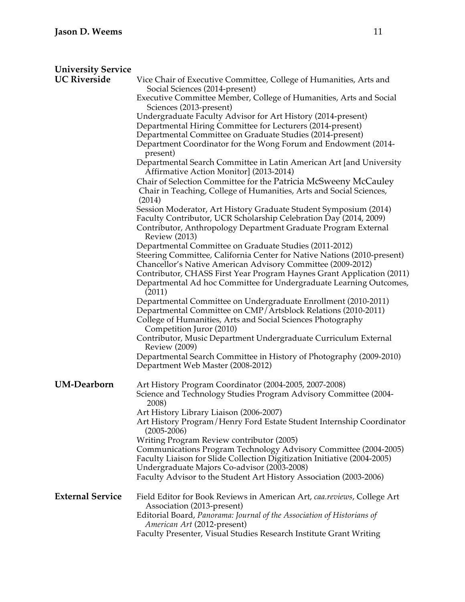| <b>University Service</b> |                                                                                                                                                       |
|---------------------------|-------------------------------------------------------------------------------------------------------------------------------------------------------|
| <b>UC Riverside</b>       | Vice Chair of Executive Committee, College of Humanities, Arts and<br>Social Sciences (2014-present)                                                  |
|                           | Executive Committee Member, College of Humanities, Arts and Social<br>Sciences (2013-present)                                                         |
|                           | Undergraduate Faculty Advisor for Art History (2014-present)                                                                                          |
|                           | Departmental Hiring Committee for Lecturers (2014-present)                                                                                            |
|                           | Departmental Committee on Graduate Studies (2014-present)                                                                                             |
|                           | Department Coordinator for the Wong Forum and Endowment (2014-<br>present)                                                                            |
|                           | Departmental Search Committee in Latin American Art [and University<br>Affirmative Action Monitor] (2013-2014)                                        |
|                           | Chair of Selection Committee for the Patricia McSweeny McCauley                                                                                       |
|                           | Chair in Teaching, College of Humanities, Arts and Social Sciences,<br>(2014)                                                                         |
|                           | Session Moderator, Art History Graduate Student Symposium (2014)                                                                                      |
|                           | Faculty Contributor, UCR Scholarship Celebration Day (2014, 2009)                                                                                     |
|                           | Contributor, Anthropology Department Graduate Program External<br><b>Review (2013)</b>                                                                |
|                           | Departmental Committee on Graduate Studies (2011-2012)                                                                                                |
|                           | Steering Committee, California Center for Native Nations (2010-present)                                                                               |
|                           | Chancellor's Native American Advisory Committee (2009-2012)                                                                                           |
|                           | Contributor, CHASS First Year Program Haynes Grant Application (2011)<br>Departmental Ad hoc Committee for Undergraduate Learning Outcomes,<br>(2011) |
|                           | Departmental Committee on Undergraduate Enrollment (2010-2011)                                                                                        |
|                           | Departmental Committee on CMP/Artsblock Relations (2010-2011)<br>College of Humanities, Arts and Social Sciences Photography                          |
|                           | Competition Juror (2010)<br>Contributor, Music Department Undergraduate Curriculum External<br><b>Review</b> (2009)                                   |
|                           | Departmental Search Committee in History of Photography (2009-2010)<br>Department Web Master (2008-2012)                                              |
| <b>UM-Dearborn</b>        | Art History Program Coordinator (2004-2005, 2007-2008)                                                                                                |
|                           | Science and Technology Studies Program Advisory Committee (2004-<br>2008)                                                                             |
|                           | Art History Library Liaison (2006-2007)                                                                                                               |
|                           | Art History Program/Henry Ford Estate Student Internship Coordinator<br>$(2005 - 2006)$                                                               |
|                           | Writing Program Review contributor (2005)                                                                                                             |
|                           | Communications Program Technology Advisory Committee (2004-2005)                                                                                      |
|                           | Faculty Liaison for Slide Collection Digitization Initiative (2004-2005)                                                                              |
|                           | Undergraduate Majors Co-advisor (2003-2008)                                                                                                           |
|                           | Faculty Advisor to the Student Art History Association (2003-2006)                                                                                    |
| <b>External Service</b>   | Field Editor for Book Reviews in American Art, caa.reviews, College Art<br>Association (2013-present)                                                 |
|                           | Editorial Board, Panorama: Journal of the Association of Historians of<br>American Art (2012-present)                                                 |
|                           | Faculty Presenter, Visual Studies Research Institute Grant Writing                                                                                    |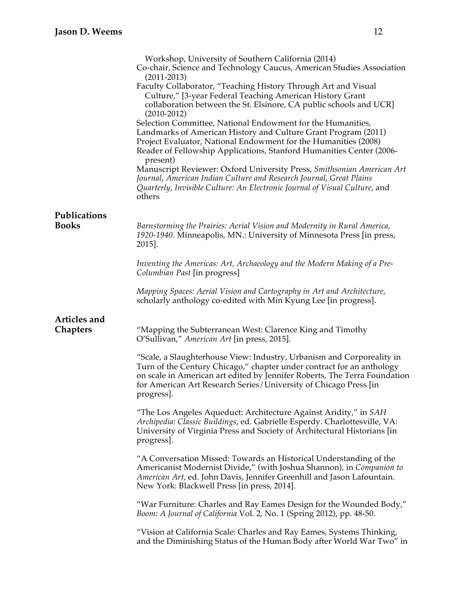|                              | Workshop, University of Southern California (2014)<br>Co-chair, Science and Technology Caucus, American Studies Association<br>$(2011 - 2013)$<br>Faculty Collaborator, "Teaching History Through Art and Visual<br>Culture," [3-year Federal Teaching American History Grant<br>collaboration between the St. Elsinore, CA public schools and UCR]<br>$(2010-2012)$<br>Selection Committee, National Endowment for the Humanities,<br>Landmarks of American History and Culture Grant Program (2011)<br>Project Evaluator, National Endowment for the Humanities (2008)<br>Reader of Fellowship Applications, Stanford Humanities Center (2006-<br>present)<br>Manuscript Reviewer: Oxford University Press, Smithsonian American Art<br>Journal, American Indian Culture and Research Journal, Great Plains<br>Quarterly, Invisible Culture: An Electronic Journal of Visual Culture, and |
|------------------------------|---------------------------------------------------------------------------------------------------------------------------------------------------------------------------------------------------------------------------------------------------------------------------------------------------------------------------------------------------------------------------------------------------------------------------------------------------------------------------------------------------------------------------------------------------------------------------------------------------------------------------------------------------------------------------------------------------------------------------------------------------------------------------------------------------------------------------------------------------------------------------------------------|
|                              | others                                                                                                                                                                                                                                                                                                                                                                                                                                                                                                                                                                                                                                                                                                                                                                                                                                                                                      |
| Publications<br><b>Books</b> | Barnstorming the Prairies: Aerial Vision and Modernity in Rural America,<br>1920-1940. Minneapolis, MN.: University of Minnesota Press [in press,<br>2015].                                                                                                                                                                                                                                                                                                                                                                                                                                                                                                                                                                                                                                                                                                                                 |
|                              | Inventing the Americas: Art, Archaeology and the Modern Making of a Pre-<br>Columbian Past [in progress]                                                                                                                                                                                                                                                                                                                                                                                                                                                                                                                                                                                                                                                                                                                                                                                    |
|                              | Mapping Spaces: Aerial Vision and Cartography in Art and Architecture,<br>scholarly anthology co-edited with Min Kyung Lee [in progress].                                                                                                                                                                                                                                                                                                                                                                                                                                                                                                                                                                                                                                                                                                                                                   |
| Articles and                 |                                                                                                                                                                                                                                                                                                                                                                                                                                                                                                                                                                                                                                                                                                                                                                                                                                                                                             |
| <b>Chapters</b>              | "Mapping the Subterranean West: Clarence King and Timothy<br>O'Sullivan," American Art [in press, 2015].                                                                                                                                                                                                                                                                                                                                                                                                                                                                                                                                                                                                                                                                                                                                                                                    |
|                              | "Scale, a Slaughterhouse View: Industry, Urbanism and Corporeality in<br>Turn of the Century Chicago," chapter under contract for an anthology<br>on scale in American art edited by Jennifer Roberts, The Terra Foundation<br>for American Art Research Series/University of Chicago Press [in<br>progress].                                                                                                                                                                                                                                                                                                                                                                                                                                                                                                                                                                               |
|                              | "The Los Angeles Aqueduct: Architecture Against Aridity," in SAH<br>Archipedia: Classic Buildings, ed. Gabrielle Esperdy. Charlottesville, VA:<br>University of Virginia Press and Society of Architectural Historians [in<br>progress.                                                                                                                                                                                                                                                                                                                                                                                                                                                                                                                                                                                                                                                     |
|                              | "A Conversation Missed: Towards an Historical Understanding of the<br>Americanist Modernist Divide," (with Joshua Shannon), in Companion to<br>American Art, ed. John Davis, Jennifer Greenhill and Jason Lafountain.<br>New York: Blackwell Press [in press, 2014].                                                                                                                                                                                                                                                                                                                                                                                                                                                                                                                                                                                                                        |
|                              | "War Furniture: Charles and Ray Eames Design for the Wounded Body,"<br>Boom: A Journal of California Vol. 2, No. 1 (Spring 2012), pp. 48-50.                                                                                                                                                                                                                                                                                                                                                                                                                                                                                                                                                                                                                                                                                                                                                |
|                              | "Vision at California Scale: Charles and Ray Eames, Systems Thinking,<br>and the Diminishing Status of the Human Body after World War Two" in                                                                                                                                                                                                                                                                                                                                                                                                                                                                                                                                                                                                                                                                                                                                               |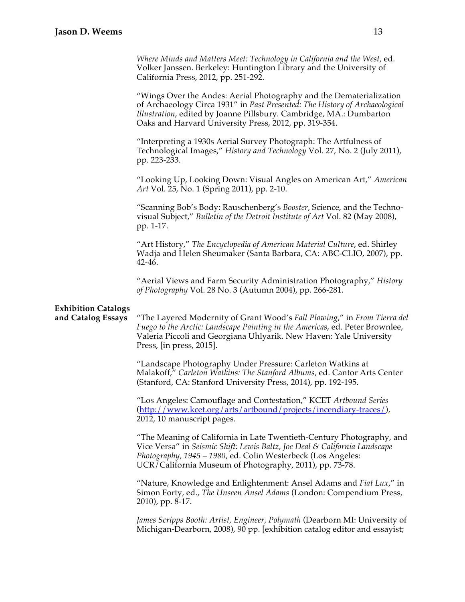*Where Minds and Matters Meet: Technology in California and the West*, ed. Volker Janssen. Berkeley: Huntington Library and the University of California Press, 2012, pp. 251-292.

"Wings Over the Andes: Aerial Photography and the Dematerialization of Archaeology Circa 1931" in *Past Presented: The History of Archaeological Illustration*, edited by Joanne Pillsbury*.* Cambridge, MA.: Dumbarton Oaks and Harvard University Press, 2012, pp. 319-354.

"Interpreting a 1930s Aerial Survey Photograph: The Artfulness of Technological Images," *History and Technology* Vol. 27, No. 2 (July 2011), pp. 223-233.

"Looking Up, Looking Down: Visual Angles on American Art," *American Art* Vol. 25, No. 1 (Spring 2011), pp. 2-10.

"Scanning Bob's Body: Rauschenberg's *Booster,* Science, and the Technovisual Subject," *Bulletin of the Detroit Institute of Art* Vol. 82 (May 2008), pp. 1-17.

"Art History," *The Encyclopedia of American Material Culture*, ed. Shirley Wadja and Helen Sheumaker (Santa Barbara, CA: ABC-CLIO, 2007), pp. 42-46.

"Aerial Views and Farm Security Administration Photography," *History of Photography* Vol. 28 No. 3 (Autumn 2004), pp. 266-281.

## **Exhibition Catalogs**

**and Catalog Essays** "The Layered Modernity of Grant Wood's *Fall Plowing*," in *From Tierra del Fuego to the Arctic: Landscape Painting in the Americas*, ed. Peter Brownlee, Valeria Piccoli and Georgiana Uhlyarik. New Haven: Yale University Press, [in press, 2015].

> "Landscape Photography Under Pressure: Carleton Watkins at Malakoff," *Carleton Watkins: The Stanford Albums*, ed. Cantor Arts Center (Stanford, CA: Stanford University Press, 2014), pp. 192-195.

"Los Angeles: Camouflage and Contestation," KCET *Artbound Series*  (http://www.kcet.org/arts/artbound/projects/incendiary-traces/), 2012, 10 manuscript pages.

"The Meaning of California in Late Twentieth-Century Photography, and Vice Versa" in *Seismic Shift: Lewis Baltz, Joe Deal & California Landscape Photography, 1945 – 1980*, ed. Colin Westerbeck (Los Angeles: UCR/California Museum of Photography, 2011), pp. 73-78.

"Nature, Knowledge and Enlightenment: Ansel Adams and *Fiat Lux*," in Simon Forty, ed., *The Unseen Ansel Adams* (London: Compendium Press, 2010), pp. 8-17.

*James Scripps Booth: Artist, Engineer, Polymath* (Dearborn MI: University of Michigan-Dearborn, 2008), 90 pp. [exhibition catalog editor and essayist;